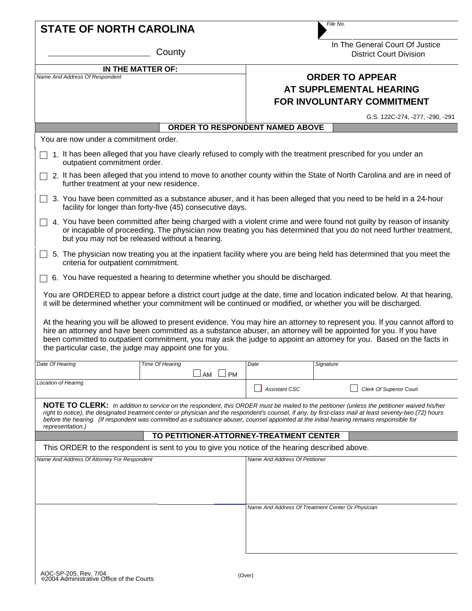|                                                                                                                                                                                                                                                                                                                                                                                                                                                                               |                                                                                                |                                                   | File No.                                                                                                                                                                                                                                    |  |
|-------------------------------------------------------------------------------------------------------------------------------------------------------------------------------------------------------------------------------------------------------------------------------------------------------------------------------------------------------------------------------------------------------------------------------------------------------------------------------|------------------------------------------------------------------------------------------------|---------------------------------------------------|---------------------------------------------------------------------------------------------------------------------------------------------------------------------------------------------------------------------------------------------|--|
| <b>STATE OF NORTH CAROLINA</b>                                                                                                                                                                                                                                                                                                                                                                                                                                                |                                                                                                |                                                   |                                                                                                                                                                                                                                             |  |
| County                                                                                                                                                                                                                                                                                                                                                                                                                                                                        |                                                                                                |                                                   | In The General Court Of Justice<br><b>District Court Division</b>                                                                                                                                                                           |  |
| IN THE MATTER OF:                                                                                                                                                                                                                                                                                                                                                                                                                                                             |                                                                                                |                                                   |                                                                                                                                                                                                                                             |  |
| Name And Address Of Respondent                                                                                                                                                                                                                                                                                                                                                                                                                                                |                                                                                                |                                                   | <b>ORDER TO APPEAR</b>                                                                                                                                                                                                                      |  |
|                                                                                                                                                                                                                                                                                                                                                                                                                                                                               |                                                                                                |                                                   | AT SUPPLEMENTAL HEARING                                                                                                                                                                                                                     |  |
|                                                                                                                                                                                                                                                                                                                                                                                                                                                                               |                                                                                                |                                                   | FOR INVOLUNTARY COMMITMENT                                                                                                                                                                                                                  |  |
|                                                                                                                                                                                                                                                                                                                                                                                                                                                                               | ORDER TO RESPONDENT NAMED ABOVE                                                                |                                                   | G.S. 122C-274, -277, -290, -291                                                                                                                                                                                                             |  |
| You are now under a commitment order.                                                                                                                                                                                                                                                                                                                                                                                                                                         |                                                                                                |                                                   |                                                                                                                                                                                                                                             |  |
|                                                                                                                                                                                                                                                                                                                                                                                                                                                                               |                                                                                                |                                                   | 1. It has been alleged that you have clearly refused to comply with the treatment prescribed for you under an                                                                                                                               |  |
| outpatient commitment order.<br>2. It has been alleged that you intend to move to another county within the State of North Carolina and are in need of<br>further treatment at your new residence.                                                                                                                                                                                                                                                                            |                                                                                                |                                                   |                                                                                                                                                                                                                                             |  |
| 3. You have been committed as a substance abuser, and it has been alleged that you need to be held in a 24-hour<br>$\Box$<br>facility for longer than forty-five (45) consecutive days.                                                                                                                                                                                                                                                                                       |                                                                                                |                                                   |                                                                                                                                                                                                                                             |  |
| 4. You have been committed after being charged with a violent crime and were found not guilty by reason of insanity<br>or incapable of proceeding. The physician now treating you has determined that you do not need further treatment,<br>but you may not be released without a hearing.                                                                                                                                                                                    |                                                                                                |                                                   |                                                                                                                                                                                                                                             |  |
| 5. The physician now treating you at the inpatient facility where you are being held has determined that you meet the<br>criteria for outpatient commitment.                                                                                                                                                                                                                                                                                                                  |                                                                                                |                                                   |                                                                                                                                                                                                                                             |  |
| 6. You have requested a hearing to determine whether you should be discharged.                                                                                                                                                                                                                                                                                                                                                                                                |                                                                                                |                                                   |                                                                                                                                                                                                                                             |  |
|                                                                                                                                                                                                                                                                                                                                                                                                                                                                               |                                                                                                |                                                   | You are ORDERED to appear before a district court judge at the date, time and location indicated below. At that hearing,<br>it will be determined whether your commitment will be continued or modified, or whether you will be discharged. |  |
| At the hearing you will be allowed to present evidence. You may hire an attorney to represent you. If you cannot afford to<br>hire an attorney and have been committed as a substance abuser, an attorney will be appointed for you. If you have<br>been committed to outpatient commitment, you may ask the judge to appoint an attorney for you. Based on the facts in<br>the particular case, the judge may appoint one for you.                                           |                                                                                                |                                                   |                                                                                                                                                                                                                                             |  |
| Date Of Hearing                                                                                                                                                                                                                                                                                                                                                                                                                                                               | Time Of Hearing                                                                                | Date                                              | Signature                                                                                                                                                                                                                                   |  |
| <b>Location of Hearing</b>                                                                                                                                                                                                                                                                                                                                                                                                                                                    | $\Box$ PM<br>AM                                                                                |                                                   |                                                                                                                                                                                                                                             |  |
|                                                                                                                                                                                                                                                                                                                                                                                                                                                                               |                                                                                                | <b>Assistant CSC</b>                              | <b>Clerk Of Superior Court</b>                                                                                                                                                                                                              |  |
| <b>NOTE TO CLERK:</b> In addition to service on the respondent, this ORDER must be mailed to the petitioner (unless the petitioner waived his/her<br>right to notice), the designated treatment center or physician and the respondent's counsel, if any, by first-class mail at least seventy-two (72) hours<br>before the hearing. (If respondent was committed as a substance abuser, counsel appointed at the initial hearing remains responsible for<br>representation.) |                                                                                                |                                                   |                                                                                                                                                                                                                                             |  |
|                                                                                                                                                                                                                                                                                                                                                                                                                                                                               | TO PETITIONER-ATTORNEY-TREATMENT CENTER                                                        |                                                   |                                                                                                                                                                                                                                             |  |
|                                                                                                                                                                                                                                                                                                                                                                                                                                                                               | This ORDER to the respondent is sent to you to give you notice of the hearing described above. |                                                   |                                                                                                                                                                                                                                             |  |
| Name And Address Of Attorney For Respondent                                                                                                                                                                                                                                                                                                                                                                                                                                   |                                                                                                | Name And Address Of Petitioner                    |                                                                                                                                                                                                                                             |  |
|                                                                                                                                                                                                                                                                                                                                                                                                                                                                               |                                                                                                |                                                   |                                                                                                                                                                                                                                             |  |
|                                                                                                                                                                                                                                                                                                                                                                                                                                                                               |                                                                                                |                                                   |                                                                                                                                                                                                                                             |  |
|                                                                                                                                                                                                                                                                                                                                                                                                                                                                               |                                                                                                | Name And Address Of Treatment Center Or Physician |                                                                                                                                                                                                                                             |  |
|                                                                                                                                                                                                                                                                                                                                                                                                                                                                               |                                                                                                |                                                   |                                                                                                                                                                                                                                             |  |
|                                                                                                                                                                                                                                                                                                                                                                                                                                                                               |                                                                                                |                                                   |                                                                                                                                                                                                                                             |  |